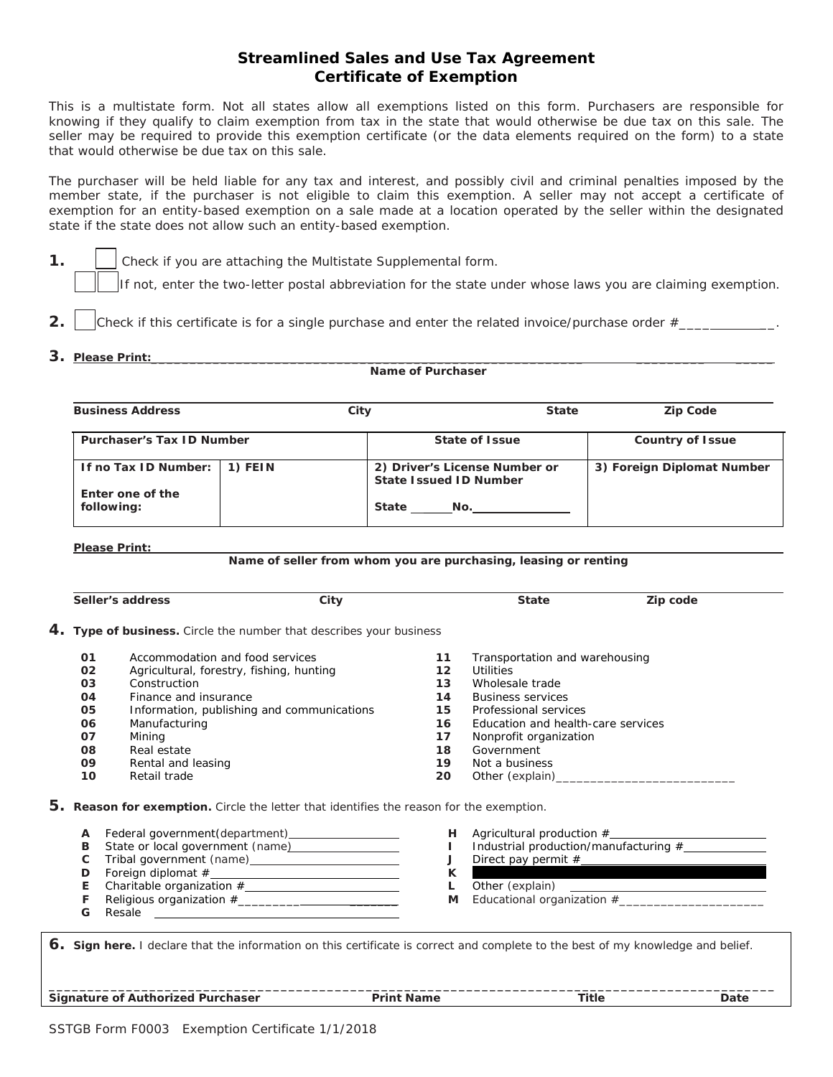## **Streamlined Sales and Use Tax Agreement Certificate of Exemption**

This is a multistate form. Not all states allow all exemptions listed on this form. Purchasers are responsible for knowing if they qualify to claim exemption from tax in the state that would otherwise be due tax on this sale. The seller may be required to provide this exemption certificate (or the data elements required on the form) to a state that would otherwise be due tax on this sale.

The purchaser will be held liable for any tax and interest, and possibly civil and criminal penalties imposed by the member state, if the purchaser is not eligible to claim this exemption. A seller may not accept a certificate of exemption for an entity-based exemption on a sale made at a location operated by the seller within the designated state if the state does not allow such an entity-based exemption.

**1. I** Check if you are attaching the Multistate Supplemental form.

If not, enter the two-letter postal abbreviation for the state under whose laws you are claiming exemption.

- 2.  $|$  check if this certificate is for a single purchase and enter the related invoice/purchase order  $\#$
- **3. Please Print:\_\_\_\_\_\_\_\_\_\_\_\_\_\_\_\_\_\_\_\_\_\_\_\_\_\_\_\_\_\_\_\_\_\_\_\_\_\_\_\_\_\_\_\_\_\_\_\_\_\_\_\_\_\_\_\_ \_\_\_\_\_\_\_\_\_ \_\_\_\_\_**

## **Name of Purchaser**

| <b>Business Address</b>          | City    | <b>State</b>                                                   | <b>Zip Code</b>            |
|----------------------------------|---------|----------------------------------------------------------------|----------------------------|
| <b>Purchaser's Tax ID Number</b> |         | State of Issue                                                 | <b>Country of Issue</b>    |
| If no Tax ID Number:             | 1) FEIN | 2) Driver's License Number or<br><b>State Issued ID Number</b> | 3) Foreign Diplomat Number |
| Enter one of the<br>following:   |         | <b>State</b><br>No.                                            |                            |

**Please Print:**

## **Name of seller from whom you are purchasing, leasing or renting**

|                                                                     |                                                                                          | Seller's address                | City                                                             |                   | <b>State</b>                       | Zip code                              |
|---------------------------------------------------------------------|------------------------------------------------------------------------------------------|---------------------------------|------------------------------------------------------------------|-------------------|------------------------------------|---------------------------------------|
| 4. Type of business. Circle the number that describes your business |                                                                                          |                                 |                                                                  |                   |                                    |                                       |
|                                                                     | 01                                                                                       | Accommodation and food services |                                                                  | 11                | Transportation and warehousing     |                                       |
|                                                                     | 02                                                                                       |                                 | Agricultural, forestry, fishing, hunting                         | $12 \overline{ }$ | <b>Utilities</b>                   |                                       |
|                                                                     | 03                                                                                       | Construction                    |                                                                  | 13                | Wholesale trade                    |                                       |
|                                                                     | 04                                                                                       | Finance and insurance           |                                                                  | 14                | <b>Business services</b>           |                                       |
|                                                                     | 05                                                                                       |                                 | Information, publishing and communications                       | 15                | Professional services              |                                       |
|                                                                     | 06                                                                                       | Manufacturing                   |                                                                  | 16                | Education and health-care services |                                       |
|                                                                     | 07                                                                                       | Mining                          |                                                                  | 17                | Nonprofit organization             |                                       |
|                                                                     | 08                                                                                       | Real estate                     |                                                                  | 18                | Government                         |                                       |
|                                                                     | 09                                                                                       | Rental and leasing              |                                                                  | 19                | Not a business                     |                                       |
|                                                                     | 10                                                                                       | Retail trade                    |                                                                  | 20                |                                    |                                       |
|                                                                     | 5. Reason for exemption. Circle the letter that identifies the reason for the exemption. |                                 |                                                                  |                   |                                    |                                       |
|                                                                     | A                                                                                        |                                 | Federal government ( <i>department</i> ) <u>________________</u> |                   |                                    |                                       |
|                                                                     | в                                                                                        |                                 |                                                                  |                   |                                    | Industrial production/manufacturing # |
|                                                                     | C                                                                                        |                                 |                                                                  | J                 |                                    |                                       |
|                                                                     | D                                                                                        |                                 |                                                                  | K                 |                                    |                                       |
|                                                                     | E                                                                                        |                                 |                                                                  | L                 |                                    |                                       |
|                                                                     | F                                                                                        |                                 |                                                                  | м                 |                                    |                                       |
|                                                                     | G                                                                                        | Resale                          | <u> 1989 - Andrea Stadt British, fransk politik (d. 1989)</u>    |                   |                                    |                                       |
|                                                                     |                                                                                          |                                 |                                                                  |                   |                                    |                                       |

*6.* **Sign here.** *I declare that the information on this certificate is correct and complete to the best of my knowledge and belief.*

**\_\_\_\_\_\_\_\_\_\_\_\_\_\_\_\_\_\_\_\_\_\_\_\_\_\_\_\_\_\_\_\_\_\_\_\_\_\_\_\_\_\_\_\_\_\_\_\_\_\_\_\_\_\_\_\_\_\_\_\_\_\_\_\_\_\_\_\_\_\_\_\_\_\_\_\_\_\_\_\_\_\_\_\_\_\_\_\_\_\_\_\_\_\_ Signature of Authorized Purchaser The Second Print Name Title Title Date** Date